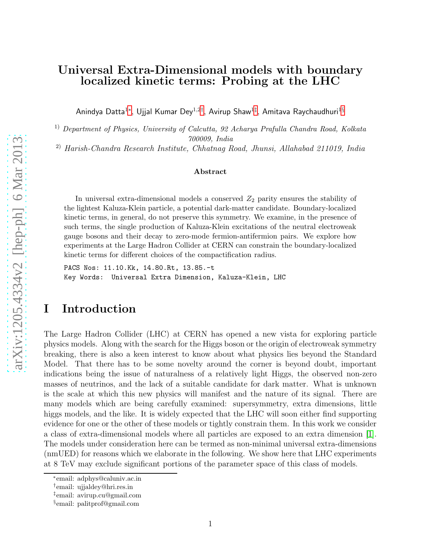## Universal Extra-Dimensional models with boundary localized kinetic terms: Probing at the LHC

Anindya Datta $^{1*}$ , Ujjal Kumar Dey $^{1,2\dagger},$  Avirup Shaw $^{1\dagger},$  Amitava Raychaudhuri $^{1\S}$ 

1) Department of Physics, University of Calcutta, 92 Acharya Prafulla Chandra Road, Kolkata 700009, India

2) Harish-Chandra Research Institute, Chhatnag Road, Jhunsi, Allahabad 211019, India

#### Abstract

In universal extra-dimensional models a conserved  $Z_2$  parity ensures the stability of the lightest Kaluza-Klein particle, a potential dark-matter candidate. Boundary-localized kinetic terms, in general, do not preserve this symmetry. We examine, in the presence of such terms, the single production of Kaluza-Klein excitations of the neutral electroweak gauge bosons and their decay to zero-mode fermion-antifermion pairs. We explore how experiments at the Large Hadron Collider at CERN can constrain the boundary-localized kinetic terms for different choices of the compactification radius.

PACS Nos: 11.10.Kk, 14.80.Rt, 13.85.-t Key Words: Universal Extra Dimension, Kaluza-Klein, LHC

## I Introduction

The Large Hadron Collider (LHC) at CERN has opened a new vista for exploring particle physics models. Along with the search for the Higgs boson or the origin of electroweak symmetry breaking, there is also a keen interest to know about what physics lies beyond the Standard Model. That there has to be some novelty around the corner is beyond doubt, important indications being the issue of naturalness of a relatively light Higgs, the observed non-zero masses of neutrinos, and the lack of a suitable candidate for dark matter. What is unknown is the scale at which this new physics will manifest and the nature of its signal. There are many models which are being carefully examined: supersymmetry, extra dimensions, little higgs models, and the like. It is widely expected that the LHC will soon either find supporting evidence for one or the other of these models or tightly constrain them. In this work we consider a class of extra-dimensional models where all particles are exposed to an extra dimension [\[1\]](#page-19-0). The models under consideration here can be termed as non-minimal universal extra-dimensions (nmUED) for reasons which we elaborate in the following. We show here that LHC experiments at 8 TeV may exclude significant portions of the parameter space of this class of models.

<sup>∗</sup> email: adphys@caluniv.ac.in

<span id="page-0-0"></span><sup>†</sup> email: ujjaldey@hri.res.in

<span id="page-0-1"></span><sup>‡</sup> email: avirup.cu@gmail.com

<span id="page-0-3"></span><span id="page-0-2"></span><sup>§</sup> email: palitprof@gmail.com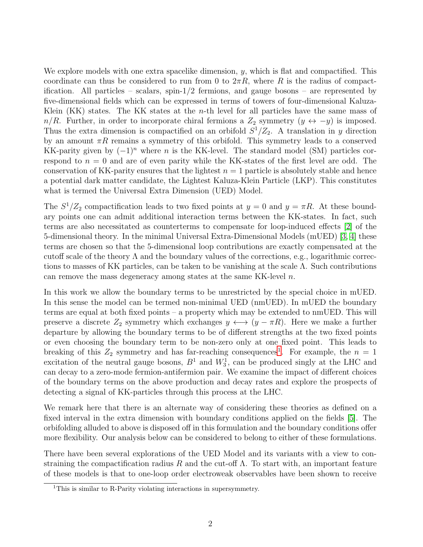We explore models with one extra spacelike dimension,  $y$ , which is flat and compactified. This coordinate can thus be considered to run from 0 to  $2\pi R$ , where R is the radius of compactification. All particles – scalars, spin- $1/2$  fermions, and gauge bosons – are represented by five-dimensional fields which can be expressed in terms of towers of four-dimensional Kaluza-Klein  $(KK)$  states. The KK states at the *n*-th level for all particles have the same mass of  $n/R$ . Further, in order to incorporate chiral fermions a  $Z_2$  symmetry  $(y \leftrightarrow -y)$  is imposed. Thus the extra dimension is compactified on an orbifold  $S^1/Z_2$ . A translation in y direction by an amount  $\pi R$  remains a symmetry of this orbifold. This symmetry leads to a conserved KK-parity given by  $(-1)^n$  where n is the KK-level. The standard model (SM) particles correspond to  $n = 0$  and are of even parity while the KK-states of the first level are odd. The conservation of KK-parity ensures that the lightest  $n = 1$  particle is absolutely stable and hence a potential dark matter candidate, the Lightest Kaluza-Klein Particle (LKP). This constitutes what is termed the Universal Extra Dimension (UED) Model.

The  $S^1/Z_2$  compactification leads to two fixed points at  $y = 0$  and  $y = \pi R$ . At these boundary points one can admit additional interaction terms between the KK-states. In fact, such terms are also necessitated as counterterms to compensate for loop-induced effects [\[2\]](#page-19-1) of the 5-dimensional theory. In the minimal Universal Extra-Dimensional Models (mUED) [\[3,](#page-19-2) [4\]](#page-19-3) these terms are chosen so that the 5-dimensional loop contributions are exactly compensated at the cutoff scale of the theory  $\Lambda$  and the boundary values of the corrections, e.g., logarithmic corrections to masses of KK particles, can be taken to be vanishing at the scale  $\Lambda$ . Such contributions can remove the mass degeneracy among states at the same KK-level n.

In this work we allow the boundary terms to be unrestricted by the special choice in mUED. In this sense the model can be termed non-minimal UED (nmUED). In mUED the boundary terms are equal at both fixed points – a property which may be extended to nmUED. This will preserve a discrete  $Z_2$  symmetry which exchanges  $y \leftrightarrow (y - \pi R)$ . Here we make a further departure by allowing the boundary terms to be of different strengths at the two fixed points or even choosing the boundary term to be non-zero only at one fixed point. This leads to breaking of this  $Z_2$  symmetry and has far-reaching consequences<sup>[1](#page-1-0)</sup>. For example, the  $n = 1$ excitation of the neutral gauge bosons,  $B^1$  and  $W_3^1$ , can be produced singly at the LHC and can decay to a zero-mode fermion-antifermion pair. We examine the impact of different choices of the boundary terms on the above production and decay rates and explore the prospects of detecting a signal of KK-particles through this process at the LHC.

We remark here that there is an alternate way of considering these theories as defined on a fixed interval in the extra dimension with boundary conditions applied on the fields [\[5\]](#page-19-4). The orbifolding alluded to above is disposed off in this formulation and the boundary conditions offer more flexibility. Our analysis below can be considered to belong to either of these formulations.

There have been several explorations of the UED Model and its variants with a view to constraining the compactification radius R and the cut-off  $\Lambda$ . To start with, an important feature of these models is that to one-loop order electroweak observables have been shown to receive

<span id="page-1-0"></span><sup>&</sup>lt;sup>1</sup>This is similar to R-Parity violating interactions in supersymmetry.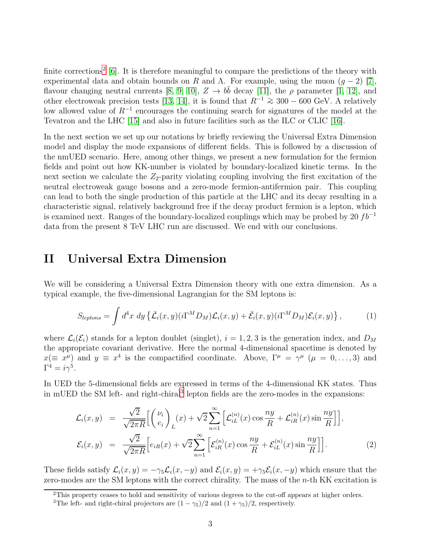finite corrections<sup>[2](#page-2-0)</sup> [\[6\]](#page-19-5). It is therefore meaningful to compare the predictions of the theory with experimental data and obtain bounds on R and  $\Lambda$ . For example, using the muon  $(q-2)$  [\[7\]](#page-19-6), flavour changing neutral currents [\[8,](#page-20-0) [9,](#page-20-1) [10\]](#page-20-2),  $Z \to b\bar{b}$  decay [\[11\]](#page-20-3), the  $\rho$  parameter [\[1,](#page-19-0) [12\]](#page-20-4), and other electroweak precision tests [\[13,](#page-20-5) [14\]](#page-20-6), it is found that  $R^{-1} \ge 300 - 600$  GeV. A relatively low allowed value of R−<sup>1</sup> encourages the continuing search for signatures of the model at the Tevatron and the LHC [\[15\]](#page-20-7) and also in future facilities such as the ILC or CLIC [\[16\]](#page-20-8).

In the next section we set up our notations by briefly reviewing the Universal Extra Dimension model and display the mode expansions of different fields. This is followed by a discussion of the nmUED scenario. Here, among other things, we present a new formulation for the fermion fields and point out how KK-number is violated by boundary-localized kinetic terms. In the next section we calculate the  $Z_2$ -parity violating coupling involving the first excitation of the neutral electroweak gauge bosons and a zero-mode fermion-antifermion pair. This coupling can lead to both the single production of this particle at the LHC and its decay resulting in a characteristic signal, relatively background free if the decay product fermion is a lepton, which is examined next. Ranges of the boundary-localized couplings which may be probed by 20  $fb^{-1}$ data from the present 8 TeV LHC run are discussed. We end with our conclusions.

## II Universal Extra Dimension

We will be considering a Universal Extra Dimension theory with one extra dimension. As a typical example, the five-dimensional Lagrangian for the SM leptons is:

$$
S_{leptons} = \int d^4x \, dy \left\{ \bar{\mathcal{L}}_i(x, y)(i\Gamma^M D_M) \mathcal{L}_i(x, y) + \bar{\mathcal{E}}_i(x, y)(i\Gamma^M D_M) \mathcal{E}_i(x, y) \right\},\tag{1}
$$

where  $\mathcal{L}_i(\mathcal{E}_i)$  stands for a lepton doublet (singlet),  $i = 1, 2, 3$  is the generation index, and  $D_M$ the appropriate covariant derivative. Here the normal 4-dimensional spacetime is denoted by  $x(\equiv x^{\mu})$  and  $y \equiv x^4$  is the compactified coordinate. Above,  $\Gamma^{\mu} = \gamma^{\mu}$   $(\mu = 0, \ldots, 3)$  and  $\Gamma^4 = i \gamma^5$ .

In UED the 5-dimensional fields are expressed in terms of the 4-dimensional KK states. Thus in mUED the SM left- and right-chiral<sup>[3](#page-2-1)</sup> lepton fields are the zero-modes in the expansions:

<span id="page-2-2"></span>
$$
\mathcal{L}_i(x, y) = \frac{\sqrt{2}}{\sqrt{2\pi R}} \Biggl[ \binom{\nu_i}{e_i} \Biggr]_L(x) + \sqrt{2} \sum_{n=1}^{\infty} \Biggl[ \mathcal{L}_{iL}^{(n)}(x) \cos \frac{ny}{R} + \mathcal{L}_{iR}^{(n)}(x) \sin \frac{ny}{R} \Biggr] \Biggr],
$$
\n
$$
\mathcal{E}_i(x, y) = \frac{\sqrt{2}}{\sqrt{2\pi R}} \Biggl[ e_{iR}(x) + \sqrt{2} \sum_{n=1}^{\infty} \Biggl[ \mathcal{E}_{iR}^{(n)}(x) \cos \frac{ny}{R} + \mathcal{E}_{iL}^{(n)}(x) \sin \frac{ny}{R} \Biggr] \Biggr].
$$
\n(2)

These fields satisfy  $\mathcal{L}_i(x, y) = -\gamma_5 \mathcal{L}_i(x, -y)$  and  $\mathcal{E}_i(x, y) = +\gamma_5 \mathcal{E}_i(x, -y)$  which ensure that the zero-modes are the SM leptons with the correct chirality. The mass of the  $n$ -th KK excitation is

<sup>&</sup>lt;sup>2</sup>This property ceases to hold and sensitivity of various degrees to the cut-off appears at higher orders.

<span id="page-2-1"></span><span id="page-2-0"></span><sup>&</sup>lt;sup>3</sup>The left- and right-chiral projectors are  $(1 - \gamma_5)/2$  and  $(1 + \gamma_5)/2$ , respectively.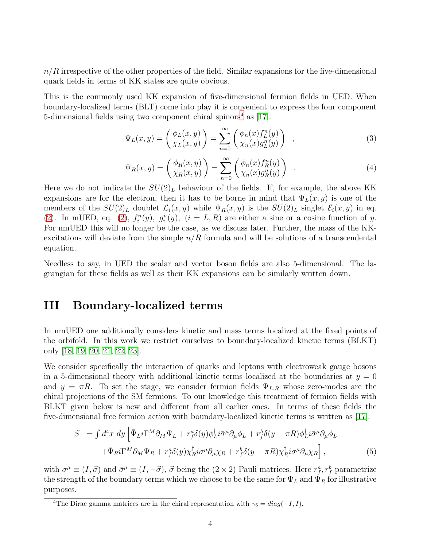$n/R$  irrespective of the other properties of the field. Similar expansions for the five-dimensional quark fields in terms of KK states are quite obvious.

This is the commonly used KK expansion of five-dimensional fermion fields in UED. When boundary-localized terms (BLT) come into play it is convenient to express the four component 5-dimensional fields using two component chiral spinors<sup>[4](#page-3-0)</sup> as  $[17]$ :

<span id="page-3-1"></span>
$$
\Psi_L(x,y) = \begin{pmatrix} \phi_L(x,y) \\ \chi_L(x,y) \end{pmatrix} = \sum_{n=0}^{\infty} \begin{pmatrix} \phi_n(x) f^n_L(y) \\ \chi_n(x) g^n_L(y) \end{pmatrix} , \qquad (3)
$$

<span id="page-3-2"></span>
$$
\Psi_R(x,y) = \begin{pmatrix} \phi_R(x,y) \\ \chi_R(x,y) \end{pmatrix} = \sum_{n=0}^{\infty} \begin{pmatrix} \phi_n(x) f_R^n(y) \\ \chi_n(x) g_R^n(y) \end{pmatrix} . \tag{4}
$$

Here we do not indicate the  $SU(2)_L$  behaviour of the fields. If, for example, the above KK expansions are for the electron, then it has to be borne in mind that  $\Psi_L(x, y)$  is one of the members of the  $SU(2)_L$  doublet  $\mathcal{L}_i(x, y)$  while  $\Psi_R(x, y)$  is the  $SU(2)_L$  singlet  $\mathcal{E}_i(x, y)$  in eq. [\(2\)](#page-2-2). In mUED, eq. [\(2\)](#page-2-2),  $f_i^n(y)$ ,  $g_i^n(y)$ ,  $(i = L, R)$  are either a sine or a cosine function of y. For nmUED this will no longer be the case, as we discuss later. Further, the mass of the KKexcitations will deviate from the simple  $n/R$  formula and will be solutions of a transcendental equation.

Needless to say, in UED the scalar and vector boson fields are also 5-dimensional. The lagrangian for these fields as well as their KK expansions can be similarly written down.

## III Boundary-localized terms

In nmUED one additionally considers kinetic and mass terms localized at the fixed points of the orbifold. In this work we restrict ourselves to boundary-localized kinetic terms (BLKT) only [\[18,](#page-21-1) [19,](#page-21-2) [20,](#page-21-3) [21,](#page-21-4) [22,](#page-21-5) [23\]](#page-21-6).

We consider specifically the interaction of quarks and leptons with electroweak gauge bosons in a 5-dimensional theory with additional kinetic terms localized at the boundaries at  $y = 0$ and  $y = \pi R$ . To set the stage, we consider fermion fields  $\Psi_{L,R}$  whose zero-modes are the chiral projections of the SM fermions. To our knowledge this treatment of fermion fields with BLKT given below is new and different from all earlier ones. In terms of these fields the five-dimensional free fermion action with boundary-localized kinetic terms is written as [\[17\]](#page-21-0):

$$
S = \int d^4x \, dy \left[ \bar{\Psi}_L i \Gamma^M \partial_M \Psi_L + r_f^a \delta(y) \phi_L^\dagger i \bar{\sigma}^\mu \partial_\mu \phi_L + r_f^b \delta(y - \pi R) \phi_L^\dagger i \bar{\sigma}^\mu \partial_\mu \phi_L \right. \left. + \bar{\Psi}_R i \Gamma^M \partial_M \Psi_R + r_f^a \delta(y) \chi_R^\dagger i \sigma^\mu \partial_\mu \chi_R + r_f^b \delta(y - \pi R) \chi_R^\dagger i \sigma^\mu \partial_\mu \chi_R \right],
$$
\n(5)

with  $\sigma^{\mu} \equiv (I, \vec{\sigma})$  and  $\bar{\sigma}^{\mu} \equiv (I, -\vec{\sigma}), \vec{\sigma}$  being the  $(2 \times 2)$  Pauli matrices. Here  $r_f^a, r_f^b$  parametrize the strength of the boundary terms which we choose to be the same for  $\Psi_L$  and  $\check{\Psi}_R$  for illustrative purposes.

<span id="page-3-0"></span><sup>&</sup>lt;sup>4</sup>The Dirac gamma matrices are in the chiral representation with  $\gamma_5 = diag(-I, I)$ .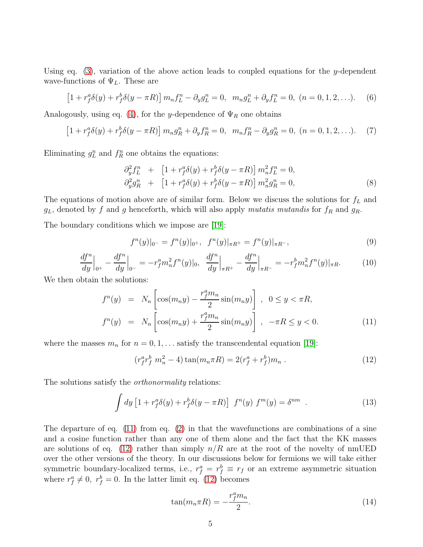Using eq.  $(3)$ , variation of the above action leads to coupled equations for the y-dependent wave-functions of  $\Psi_L$ . These are

$$
\[1 + r_f^a \delta(y) + r_f^b \delta(y - \pi R)\] m_n f_L^n - \partial_y g_L^n = 0, \ \ m_n g_L^n + \partial_y f_L^n = 0, \ (n = 0, 1, 2, \ldots). \tag{6}
$$

Analogously, using eq. [\(4\)](#page-3-2), for the y-dependence of  $\Psi_R$  one obtains

$$
\[1 + r_f^a \delta(y) + r_f^b \delta(y - \pi R)\] m_n g_R^n + \partial_y f_R^n = 0, \ \ m_n f_R^n - \partial_y g_R^n = 0, \ (n = 0, 1, 2, \ldots). \tag{7}
$$

Eliminating  $g_L^n$  and  $f_R^n$  one obtains the equations:

$$
\partial_y^2 f_L^n + [1 + r_f^a \delta(y) + r_f^b \delta(y - \pi R)] m_n^2 f_L^n = 0,\n\partial_y^2 g_R^n + [1 + r_f^a \delta(y) + r_f^b \delta(y - \pi R)] m_n^2 g_R^n = 0,
$$
\n(8)

The equations of motion above are of similar form. Below we discuss the solutions for  $f<sub>L</sub>$  and  $g_L$ , denoted by f and g henceforth, which will also apply mutatis mutandis for  $f_R$  and  $g_R$ .

The boundary conditions which we impose are [\[19\]](#page-21-2):

$$
f^{n}(y)|_{0^{-}} = f^{n}(y)|_{0^{+}}, \quad f^{n}(y)|_{\pi R^{+}} = f^{n}(y)|_{\pi R^{-}}, \tag{9}
$$

$$
\frac{df^n}{dy}\Big|_{0^+} - \frac{df^n}{dy}\Big|_{0^-} = -r_f^a m_n^2 f^n(y)|_0, \quad \frac{df^n}{dy}\Big|_{\pi R^+} - \frac{df^n}{dy}\Big|_{\pi R^-} = -r_f^b m_n^2 f^n(y)|_{\pi R}.\tag{10}
$$

We then obtain the solutions:

<span id="page-4-0"></span>
$$
f^{n}(y) = N_{n} \left[ \cos(m_{n}y) - \frac{r_{f}^{a}m_{n}}{2} \sin(m_{n}y) \right], \quad 0 \le y < \pi R,
$$
  

$$
f^{n}(y) = N_{n} \left[ \cos(m_{n}y) + \frac{r_{f}^{a}m_{n}}{2} \sin(m_{n}y) \right], -\pi R \le y < 0.
$$
 (11)

where the masses  $m_n$  for  $n = 0, 1, \ldots$  satisfy the transcendental equation [\[19\]](#page-21-2):

<span id="page-4-1"></span>
$$
(r_f^a r_f^b m_n^2 - 4) \tan(m_n \pi R) = 2(r_f^a + r_f^b) m_n . \qquad (12)
$$

The solutions satisfy the *orthonormality* relations:

$$
\int dy \left[1 + r_f^a \delta(y) + r_f^b \delta(y - \pi R)\right] f^n(y) f^m(y) = \delta^{nm} . \qquad (13)
$$

The departure of eq. [\(11\)](#page-4-0) from eq. [\(2\)](#page-2-2) in that the wavefunctions are combinations of a sine and a cosine function rather than any one of them alone and the fact that the KK masses are solutions of eq. [\(12\)](#page-4-1) rather than simply  $n/R$  are at the root of the novelty of nmUED over the other versions of the theory. In our discussions below for fermions we will take either symmetric boundary-localized terms, i.e.,  $r_f^a = r_f^b \equiv r_f$  or an extreme asymmetric situation where  $r_f^a \neq 0$ ,  $r_f^b = 0$ . In the latter limit eq. [\(12\)](#page-4-1) becomes

<span id="page-4-2"></span>
$$
\tan(m_n \pi R) = -\frac{r_f^a m_n}{2}.\tag{14}
$$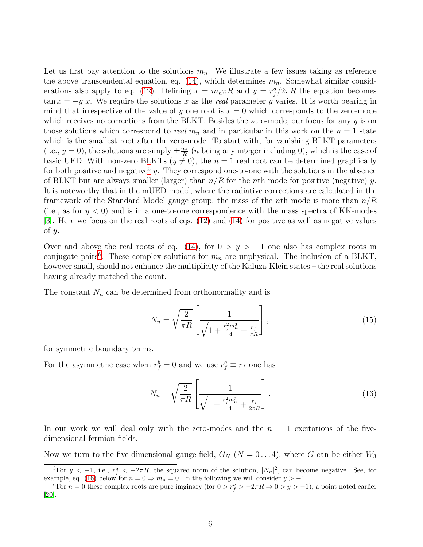Let us first pay attention to the solutions  $m_n$ . We illustrate a few issues taking as reference the above transcendental equation, eq. [\(14\)](#page-4-2), which determines  $m_n$ . Somewhat similar consid-erations also apply to eq. [\(12\)](#page-4-1). Defining  $x = m_n \pi R$  and  $y = r_f^a/2\pi R$  the equation becomes  $\tan x = -y$  x. We require the solutions x as the real parameter y varies. It is worth bearing in mind that irrespective of the value of y one root is  $x = 0$  which corresponds to the zero-mode which receives no corrections from the BLKT. Besides the zero-mode, our focus for any  $y$  is on those solutions which correspond to *real*  $m_n$  and in particular in this work on the  $n = 1$  state which is the smallest root after the zero-mode. To start with, for vanishing BLKT parameters (i.e.,  $y = 0$ ), the solutions are simply  $\pm \frac{n\pi}{R}$  $\frac{n\pi}{R}$  (*n* being any integer including 0), which is the case of basic UED. With non-zero BLKTs ( $y \neq 0$ ), the  $n = 1$  real root can be determined graphically for both positive and negative<sup>[5](#page-5-0)</sup> y. They correspond one-to-one with the solutions in the absence of BLKT but are always smaller (larger) than  $n/R$  for the nth mode for positive (negative) y. It is noteworthy that in the mUED model, where the radiative corrections are calculated in the framework of the Standard Model gauge group, the mass of the *n*th mode is more than  $n/R$ (i.e., as for  $y < 0$ ) and is in a one-to-one correspondence with the mass spectra of KK-modes [\[3\]](#page-19-2). Here we focus on the real roots of eqs. [\(12\)](#page-4-1) and [\(14\)](#page-4-2) for positive as well as negative values of  $y$ .

Over and above the real roots of eq. [\(14\)](#page-4-2), for  $0 > y > -1$  one also has complex roots in conjugate pairs<sup>[6](#page-5-1)</sup>. These complex solutions for  $m_n$  are unphysical. The inclusion of a BLKT, however small, should not enhance the multiplicity of the Kaluza-Klein states – the real solutions having already matched the count.

The constant  $N_n$  can be determined from orthonormality and is

$$
N_n = \sqrt{\frac{2}{\pi R}} \left[ \frac{1}{\sqrt{1 + \frac{r_f^2 m_n^2}{4} + \frac{r_f}{\pi R}}} \right],
$$
\n(15)

for symmetric boundary terms.

For the asymmetric case when  $r_f^b = 0$  and we use  $r_f^a \equiv r_f$  one has

<span id="page-5-2"></span>
$$
N_n = \sqrt{\frac{2}{\pi R}} \left[ \frac{1}{\sqrt{1 + \frac{r_f^2 m_n^2}{4} + \frac{r_f}{2\pi R}}} \right].
$$
 (16)

In our work we will deal only with the zero-modes and the  $n = 1$  excitations of the fivedimensional fermion fields.

Now we turn to the five-dimensional gauge field,  $G_N$  ( $N = 0...4$ ), where G can be either  $W_3$ 

<span id="page-5-0"></span><sup>&</sup>lt;sup>5</sup>For  $y < -1$ , i.e.,  $r_f^a < -2\pi R$ , the squared norm of the solution,  $|N_n|^2$ , can become negative. See, for example, eq. [\(16\)](#page-5-2) below for  $n = 0 \Rightarrow m_n = 0$ . In the following we will consider  $y > -1$ .

<span id="page-5-1"></span><sup>&</sup>lt;sup>6</sup>For  $n = 0$  these complex roots are pure imginary (for  $0 > r_f^a > -2\pi R \Rightarrow 0 > y > -1$ ); a point noted earlier [\[20\]](#page-21-3).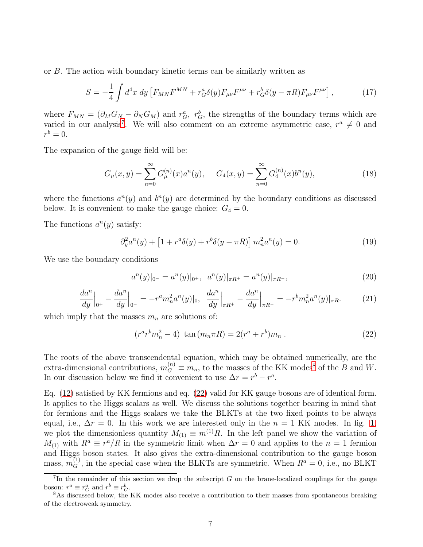or B. The action with boundary kinetic terms can be similarly written as

$$
S = -\frac{1}{4} \int d^4x \, dy \left[ F_{MN} F^{MN} + r_G^a \delta(y) F_{\mu\nu} F^{\mu\nu} + r_G^b \delta(y - \pi R) F_{\mu\nu} F^{\mu\nu} \right],\tag{17}
$$

where  $F_{MN} = (\partial_M G_N - \partial_N G_M)$  and  $r_G^a$ ,  $r_G^b$ , the strengths of the boundary terms which are varied in our analysis<sup>[7](#page-6-0)</sup>. We will also comment on an extreme asymmetric case,  $r^a \neq 0$  and  $r^b=0.$ 

The expansion of the gauge field will be:

$$
G_{\mu}(x,y) = \sum_{n=0}^{\infty} G_{\mu}^{(n)}(x) a^n(y), \qquad G_4(x,y) = \sum_{n=0}^{\infty} G_4^{(n)}(x) b^n(y), \tag{18}
$$

where the functions  $a^n(y)$  and  $b^n(y)$  are determined by the boundary conditions as discussed below. It is convenient to make the gauge choice:  $G_4 = 0$ .

The functions  $a^n(y)$  satisfy:

<span id="page-6-3"></span>
$$
\partial_y^2 a^n(y) + \left[1 + r^a \delta(y) + r^b \delta(y - \pi R)\right] m_n^2 a^n(y) = 0. \tag{19}
$$

We use the boundary conditions

$$
a^{n}(y)|_{0^{-}} = a^{n}(y)|_{0^{+}}, \quad a^{n}(y)|_{\pi R^{+}} = a^{n}(y)|_{\pi R^{-}}, \tag{20}
$$

$$
\frac{da^n}{dy}\Big|_{0^+} - \frac{da^n}{dy}\Big|_{0^-} = -r^a m_n^2 a^n(y)|_0, \quad \frac{da^n}{dy}\Big|_{\pi R^+} - \frac{da^n}{dy}\Big|_{\pi R^-} = -r^b m_n^2 a^n(y)|_{\pi R}.\tag{21}
$$

which imply that the masses  $m_n$  are solutions of:

<span id="page-6-2"></span>
$$
(r^a r^b m_n^2 - 4) \tan (m_n \pi R) = 2(r^a + r^b) m_n . \qquad (22)
$$

The roots of the above transcendental equation, which may be obtained numerically, are the extra-dimensional contributions,  $m_G^{(n)} \equiv m_n$ , to the masses of the KK modes<sup>[8](#page-6-1)</sup> of the B and W. In our discussion below we find it convenient to use  $\Delta r = r^b - r^a$ .

Eq. [\(12\)](#page-4-1) satisfied by KK fermions and eq. [\(22\)](#page-6-2) valid for KK gauge bosons are of identical form. It applies to the Higgs scalars as well. We discuss the solutions together bearing in mind that for fermions and the Higgs scalars we take the BLKTs at the two fixed points to be always equal, i.e.,  $\Delta r = 0$ . In this work we are interested only in the  $n = 1$  KK modes. In fig. [1,](#page-7-0) we plot the dimensionless quantity  $M_{(1)} \equiv m^{(1)}R$ . In the left panel we show the variation of  $M_{(1)}$  with  $R^a \equiv r^a/R$  in the symmetric limit when  $\Delta r = 0$  and applies to the  $n = 1$  fermion and Higgs boson states. It also gives the extra-dimensional contribution to the gauge boson mass,  $m_G^{(1)}$ , in the special case when the BLKTs are symmetric. When  $R^a = 0$ , i.e., no BLKT

<span id="page-6-0"></span><sup>&</sup>lt;sup>7</sup>In the remainder of this section we drop the subscript  $G$  on the brane-localized couplings for the gauge boson:  $r^a \equiv r_G^a$  and  $r^b \equiv r_G^b$ .

<span id="page-6-1"></span><sup>8</sup>As discussed below, the KK modes also receive a contribution to their masses from spontaneous breaking of the electroweak symmetry.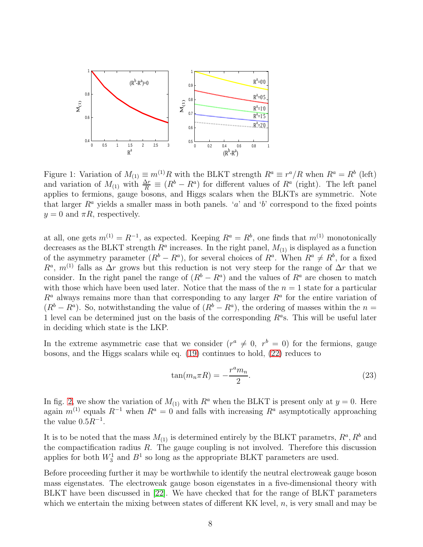

<span id="page-7-0"></span>Figure 1: Variation of  $M_{(1)} \equiv m^{(1)}R$  with the BLKT strength  $R^a \equiv r^a/R$  when  $R^a = R^b$  (left) and variation of  $M_{(1)}$  with  $\frac{\Delta r}{R} \equiv (R^b - R^a)$  for different values of  $R^a$  (right). The left panel applies to fermions, gauge bosons, and Higgs scalars when the BLKTs are symmetric. Note that larger  $R^a$  yields a smaller mass in both panels. 'a' and 'b' correspond to the fixed points  $y = 0$  and  $\pi R$ , respectively.

at all, one gets  $m^{(1)} = R^{-1}$ , as expected. Keeping  $R^a = R^b$ , one finds that  $m^{(1)}$  monotonically decreases as the BLKT strength  $R^a$  increases. In the right panel,  $M_{(1)}$  is displayed as a function of the asymmetry parameter  $(R^b - R^a)$ , for several choices of  $R^a$ . When  $R^a \neq R^b$ , for a fixed  $R^a$ ,  $m^{(1)}$  falls as  $\Delta r$  grows but this reduction is not very steep for the range of  $\Delta r$  that we consider. In the right panel the range of  $(R^b - R^a)$  and the values of  $R^a$  are chosen to match with those which have been used later. Notice that the mass of the  $n = 1$  state for a particular  $R^a$  always remains more than that corresponding to any larger  $R^a$  for the entire variation of  $(R<sup>b</sup> - R<sup>a</sup>)$ . So, notwithstanding the value of  $(R<sup>b</sup> - R<sup>a</sup>)$ , the ordering of masses within the  $n =$ 1 level can be determined just on the basis of the corresponding  $R^a$ s. This will be useful later in deciding which state is the LKP.

In the extreme asymmetric case that we consider  $(r^a \neq 0, r^b = 0)$  for the fermions, gauge bosons, and the Higgs scalars while eq. [\(19\)](#page-6-3) continues to hold, [\(22\)](#page-6-2) reduces to

$$
\tan(m_n \pi R) = -\frac{r^a m_n}{2}.\tag{23}
$$

In fig. [2,](#page-8-0) we show the variation of  $M_{(1)}$  with  $R^a$  when the BLKT is present only at  $y = 0$ . Here again  $m^{(1)}$  equals  $R^{-1}$  when  $R^a = 0$  and falls with increasing  $R^a$  asymptotically approaching the value  $0.5R^{-1}$ .

It is to be noted that the mass  $M_{(1)}$  is determined entirely by the BLKT parametrs,  $R^a, R^b$  and the compactification radius  $R$ . The gauge coupling is not involved. Therefore this discussion applies for both  $W_3^1$  and  $B^1$  so long as the appropriate BLKT parameters are used.

Before proceeding further it may be worthwhile to identify the neutral electroweak gauge boson mass eigenstates. The electroweak gauge boson eigenstates in a five-dimensional theory with BLKT have been discussed in [\[22\]](#page-21-5). We have checked that for the range of BLKT parameters which we entertain the mixing between states of different KK level,  $n$ , is very small and may be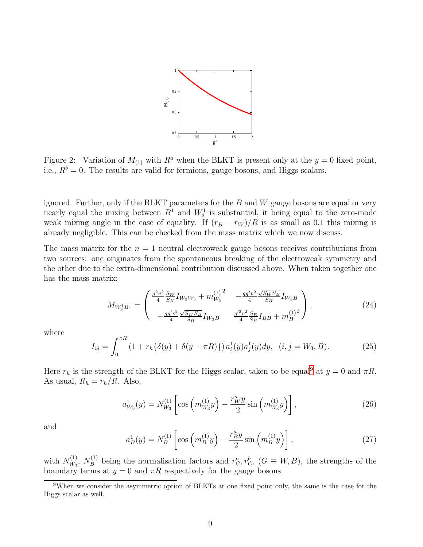

<span id="page-8-0"></span>Figure 2: Variation of  $M_{(1)}$  with  $R^a$  when the BLKT is present only at the  $y = 0$  fixed point, i.e.,  $R^b = 0$ . The results are valid for fermions, gauge bosons, and Higgs scalars.

ignored. Further, only if the BLKT parameters for the  $B$  and  $W$  gauge bosons are equal or very nearly equal the mixing between  $B^1$  and  $W_3^1$  is substantial, it being equal to the zero-mode weak mixing angle in the case of equality. If  $(r_B - r_W)/R$  is as small as 0.1 this mixing is already negligible. This can be checked from the mass matrix which we now discuss.

The mass matrix for the  $n = 1$  neutral electroweak gauge bosons receives contributions from two sources: one originates from the spontaneous breaking of the electroweak symmetry and the other due to the extra-dimensional contribution discussed above. When taken together one has the mass matrix:

<span id="page-8-2"></span>
$$
M_{W_3^1 B^1} = \begin{pmatrix} \frac{g^2 v^2}{4} \frac{S_W}{S_H} I_{W_3 W_3} + m_{W_3}^{(1)^2} & -\frac{g g' v^2}{4} \frac{\sqrt{S_W S_B}}{S_H} I_{W_3 B} \\ -\frac{g g' v^2}{4} \frac{\sqrt{S_W S_B}}{S_H} I_{W_3 B} & \frac{g'^2 v^2}{4} \frac{S_B}{S_H} I_{BB} + m_B^{(1)^2} \end{pmatrix},
$$
(24)

where

$$
I_{ij} = \int_0^{\pi R} (1 + r_h \{\delta(y) + \delta(y - \pi R)\}) a_i^1(y) a_j^1(y) dy, \quad (i, j = W_3, B). \tag{25}
$$

Here  $r_h$  is the strength of the BLKT for the Higgs scalar, taken to be equal<sup>[9](#page-8-1)</sup> at  $y = 0$  and  $\pi R$ . As usual,  $R_h = r_h/R$ . Also,

$$
a_{W_3}^1(y) = N_{W_3}^{(1)} \left[ \cos \left( m_{W_3}^{(1)} y \right) - \frac{r_W^a y}{2} \sin \left( m_{W_3}^{(1)} y \right) \right],\tag{26}
$$

and

$$
a_B^1(y) = N_B^{(1)} \left[ \cos \left( m_B^{(1)} y \right) - \frac{r_B^a y}{2} \sin \left( m_B^{(1)} y \right) \right],\tag{27}
$$

with  $N_{W_3}^{(1)}$  $W_{W_3}^{(1)}$ ,  $N_B^{(1)}$  being the normalisation factors and  $r_G^a, r_G^b, (G \equiv W, B)$ , the strengths of the boundary terms at  $y = 0$  and  $\pi R$  respectively for the gauge bosons.

<span id="page-8-1"></span><sup>9</sup>When we consider the asymmetric option of BLKTs at one fixed point only, the same is the case for the Higgs scalar as well.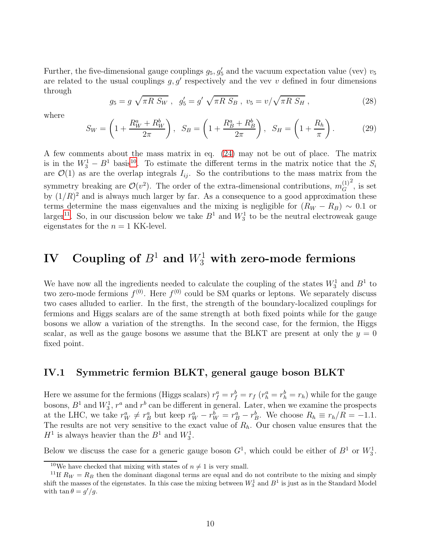Further, the five-dimensional gauge couplings  $g_5, g'_5$  and the vacuum expectation value (vev)  $v_5$ are related to the usual couplings  $g, g'$  respectively and the vev v defined in four dimensions through

$$
g_5 = g \sqrt{\pi R S_W} , \quad g_5' = g' \sqrt{\pi R S_B} , \quad v_5 = v / \sqrt{\pi R S_H} , \tag{28}
$$

where

$$
S_W = \left(1 + \frac{R_W^a + R_W^b}{2\pi}\right), \quad S_B = \left(1 + \frac{R_B^a + R_B^b}{2\pi}\right), \quad S_H = \left(1 + \frac{R_h}{\pi}\right). \tag{29}
$$

A few comments about the mass matrix in eq. [\(24\)](#page-8-2) may not be out of place. The matrix is in the  $W_3^1 - B^1$  basis<sup>[10](#page-9-0)</sup>. To estimate the different terms in the matrix notice that the  $S_i$ are  $\mathcal{O}(1)$  as are the overlap integrals  $I_{ij}$ . So the contributions to the mass matrix from the symmetry breaking are  $\mathcal{O}(v^2)$ . The order of the extra-dimensional contributions,  $m_G^{(1)}$ G  $\frac{2}{3}$ , is set by  $(1/R)^2$  and is always much larger by far. As a consequence to a good approximation these terms determine the mass eigenvalues and the mixing is negligible for  $(R_W - R_B) \sim 0.1$  or larger<sup>[11](#page-9-1)</sup>. So, in our discussion below we take  $B^1$  and  $W_3^1$  to be the neutral electroweak gauge eigenstates for the  $n = 1$  KK-level.

# $\mathbf{IV} \quad \mathbf{Coupling\ of\ } B^1 \text{ and } W_3^1 \text{ with zero-mode fermions}$

We have now all the ingredients needed to calculate the coupling of the states  $W_3^1$  and  $B^1$  to two zero-mode fermions  $f^{(0)}$ . Here  $f^{(0)}$  could be SM quarks or leptons. We separately discuss two cases alluded to earlier. In the first, the strength of the boundary-localized couplings for fermions and Higgs scalars are of the same strength at both fixed points while for the gauge bosons we allow a variation of the strengths. In the second case, for the fermion, the Higgs scalar, as well as the gauge bosons we assume that the BLKT are present at only the  $y = 0$ fixed point.

#### IV.1 Symmetric fermion BLKT, general gauge boson BLKT

Here we assume for the fermions (Higgs scalars)  $r_f^a = r_f^b = r_f$  ( $r_h^a = r_h^b = r_h$ ) while for the gauge bosons,  $B^1$  and  $W_3^1$ ,  $r^a$  and  $r^b$  can be different in general. Later, when we examine the prospects at the LHC, we take  $r_W^a \neq r_B^a$  but keep  $r_W^a - r_W^b = r_B^a - r_B^b$ . We choose  $R_h \equiv r_h/R = -1.1$ . The results are not very sensitive to the exact value of  $R_h$ . Our chosen value ensures that the  $H^1$  is always heavier than the  $B^1$  and  $W_3^1$ .

Below we discuss the case for a generic gauge boson  $G<sup>1</sup>$ , which could be either of  $B<sup>1</sup>$  or  $W<sub>3</sub><sup>1</sup>$ .

<span id="page-9-0"></span><sup>&</sup>lt;sup>10</sup>We have checked that mixing with states of  $n \neq 1$  is very small.

<span id="page-9-1"></span><sup>&</sup>lt;sup>11</sup>If  $R_W = R_B$  then the dominant diagonal terms are equal and do not contribute to the mixing and simply shift the masses of the eigenstates. In this case the mixing between  $W_3^1$  and  $B^1$  is just as in the Standard Model with  $\tan \theta = g'/g$ .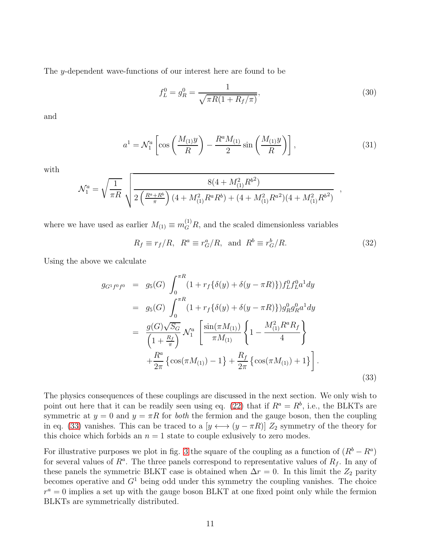The y-dependent wave-functions of our interest here are found to be

$$
f_L^0 = g_R^0 = \frac{1}{\sqrt{\pi R (1 + R_f/\pi)}},\tag{30}
$$

and

$$
a^{1} = \mathcal{N}_{1}^{a} \left[ \cos \left( \frac{M_{(1)} y}{R} \right) - \frac{R^{a} M_{(1)}}{2} \sin \left( \frac{M_{(1)} y}{R} \right) \right], \tag{31}
$$

with

$$
\mathcal{N}_1^a = \sqrt{\frac{1}{\pi R}} \sqrt{\frac{8(4 + M_{(1)}^2 R^{b^2})}{2\left(\frac{R^a + R^b}{\pi}\right)(4 + M_{(1)}^2 R^a R^b) + (4 + M_{(1)}^2 R^{a^2})(4 + M_{(1)}^2 R^{b^2})}} \quad ,
$$

where we have used as earlier  $M_{(1)} \equiv m_G^{(1)} R$ , and the scaled dimensionless variables

$$
R_f \equiv r_f/R, \ R^a \equiv r_G^a/R, \text{ and } R^b \equiv r_G^b/R. \tag{32}
$$

Using the above we calculate

<span id="page-10-0"></span>
$$
g_{G^1f^0f^0} = g_5(G) \int_0^{\pi R} (1 + r_f \{\delta(y) + \delta(y - \pi R)\}) f_L^0 f_L^0 a^1 dy
$$
  
\n
$$
= g_5(G) \int_0^{\pi R} (1 + r_f \{\delta(y) + \delta(y - \pi R)\}) g_R^0 g_R^0 a^1 dy
$$
  
\n
$$
= \frac{g(G)\sqrt{S_G}}{\left(1 + \frac{R_f}{\pi}\right)} \mathcal{N}_1^a \left[ \frac{\sin(\pi M_{(1)})}{\pi M_{(1)}} \left\{1 - \frac{M_{(1)}^2 R^a R_f}{4} \right\}
$$
  
\n
$$
+ \frac{R^a}{2\pi} \left\{ \cos(\pi M_{(1)}) - 1 \right\} + \frac{R_f}{2\pi} \left\{ \cos(\pi M_{(1)}) + 1 \right\} \right].
$$
\n(33)

The physics consequences of these couplings are discussed in the next section. We only wish to point out here that it can be readily seen using eq. [\(22\)](#page-6-2) that if  $R^a = R^b$ , i.e., the BLKTs are symmetric at  $y = 0$  and  $y = \pi R$  for *both* the fermion and the gauge boson, then the coupling in eq. [\(33\)](#page-10-0) vanishes. This can be traced to a  $[y \leftrightarrow (y - \pi R)] Z_2$  symmetry of the theory for this choice which forbids an  $n = 1$  state to couple exlusively to zero modes.

For illustrative purposes we plot in fig. [3](#page-11-0) the square of the coupling as a function of  $(R^b - R^a)$ for several values of  $R^a$ . The three panels correspond to representative values of  $R_f$ . In any of these panels the symmetric BLKT case is obtained when  $\Delta r = 0$ . In this limit the  $Z_2$  parity becomes operative and  $G<sup>1</sup>$  being odd under this symmetry the coupling vanishes. The choice  $r^a = 0$  implies a set up with the gauge boson BLKT at one fixed point only while the fermion BLKTs are symmetrically distributed.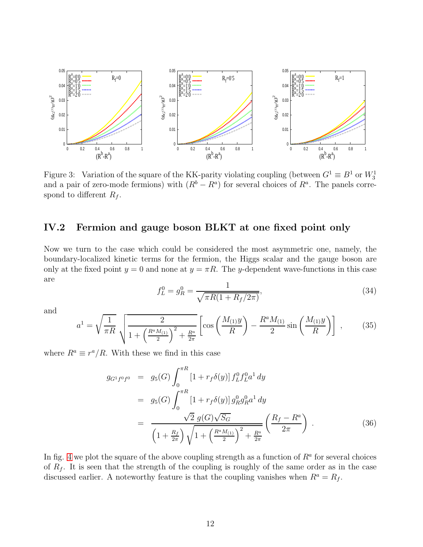

<span id="page-11-0"></span>Figure 3: Variation of the square of the KK-parity violating coupling (between  $G^1 \equiv B^1$  or  $W_3^1$ ) and a pair of zero-mode fermions) with  $(R^b - R^a)$  for several choices of  $R^a$ . The panels correspond to different  $R_f$ .

#### IV.2 Fermion and gauge boson BLKT at one fixed point only

Now we turn to the case which could be considered the most asymmetric one, namely, the boundary-localized kinetic terms for the fermion, the Higgs scalar and the gauge boson are only at the fixed point  $y = 0$  and none at  $y = \pi R$ . The y-dependent wave-functions in this case are

$$
f_L^0 = g_R^0 = \frac{1}{\sqrt{\pi R (1 + R_f / 2\pi)}},\tag{34}
$$

and

$$
a^{1} = \sqrt{\frac{1}{\pi R}} \sqrt{\frac{2}{1 + \left(\frac{R^{a} M_{(1)}}{2}\right)^{2} + \frac{R^{a}}{2\pi}} \left[ \cos\left(\frac{M_{(1)} y}{R}\right) - \frac{R^{a} M_{(1)}}{2} \sin\left(\frac{M_{(1)} y}{R}\right) \right] , \qquad (35)
$$

where  $R^a \equiv r^a/R$ . With these we find in this case

<span id="page-11-1"></span>
$$
g_{G^1 f^0 f^0} = g_5(G) \int_0^{\pi R} [1 + r_f \delta(y)] f_L^0 f_L^0 a^1 dy
$$
  
\n
$$
= g_5(G) \int_0^{\pi R} [1 + r_f \delta(y)] g_R^0 g_R^0 a^1 dy
$$
  
\n
$$
= \frac{\sqrt{2} g(G) \sqrt{S_G}}{\left(1 + \frac{R_f}{2\pi}\right) \sqrt{1 + \left(\frac{R^a M_{(1)}}{2}\right)^2 + \frac{R^a}{2\pi}}} \left(\frac{R_f - R^a}{2\pi}\right).
$$
 (36)

In fig. [4](#page-12-0) we plot the square of the above coupling strength as a function of  $R<sup>a</sup>$  for several choices of  $R_f$ . It is seen that the strength of the coupling is roughly of the same order as in the case discussed earlier. A noteworthy feature is that the coupling vanishes when  $R^a = R_f$ .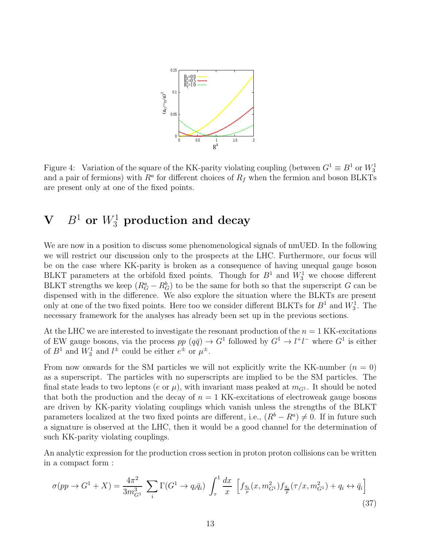

<span id="page-12-0"></span>Figure 4: Variation of the square of the KK-parity violating coupling (between  $G^1 \equiv B^1$  or  $W_3^1$ ) and a pair of fermions) with  $R^a$  for different choices of  $R_f$  when the fermion and boson BLKTs are present only at one of the fixed points.

# $\mathbf{V}$  and  $B^1$  or  $W^1_3$  production and decay

We are now in a position to discuss some phenomenological signals of nmUED. In the following we will restrict our discussion only to the prospects at the LHC. Furthermore, our focus will be on the case where KK-parity is broken as a consequence of having unequal gauge boson BLKT parameters at the orbifold fixed points. Though for  $B^1$  and  $W_3^1$  we choose different BLKT strengths we keep  $(R_G^a - R_G^b)$  to be the same for both so that the superscript G can be dispensed with in the difference. We also explore the situation where the BLKTs are present only at one of the two fixed points. Here too we consider different BLKTs for  $B^1$  and  $W_3^1$ . The necessary framework for the analyses has already been set up in the previous sections.

At the LHC we are interested to investigate the resonant production of the  $n = 1$  KK-excitations of EW gauge bosons, via the process  $pp (q\bar{q}) \rightarrow G^1$  followed by  $G^1 \rightarrow l^+l^-$  where  $G^1$  is either of  $B^1$  and  $W_3^1$  and  $l^{\pm}$  could be either  $e^{\pm}$  or  $\mu^{\pm}$ .

From now onwards for the SM particles we will not explicitly write the KK-number  $(n = 0)$ as a superscript. The particles with no superscripts are implied to be the SM particles. The final state leads to two leptons (e or  $\mu$ ), with invariant mass peaked at  $m_{G^1}$ . It should be noted that both the production and the decay of  $n = 1$  KK-excitations of electroweak gauge bosons are driven by KK-parity violating couplings which vanish unless the strengths of the BLKT parameters localized at the two fixed points are different, i.e.,  $(R^b - R^a) \neq 0$ . If in future such a signature is observed at the LHC, then it would be a good channel for the determination of such KK-parity violating couplings.

An analytic expression for the production cross section in proton proton collisions can be written in a compact form :

$$
\sigma(pp \to G^1 + X) = \frac{4\pi^2}{3m_{G^1}^3} \sum_{i} \Gamma(G^1 \to q_i \bar{q}_i) \int_{\tau}^1 \frac{dx}{x} \left[ f_{\frac{q_i}{p}}(x, m_{G^1}^2) f_{\frac{\bar{q}_i}{p}}(\tau/x, m_{G^1}^2) + q_i \leftrightarrow \bar{q}_i \right]
$$
(37)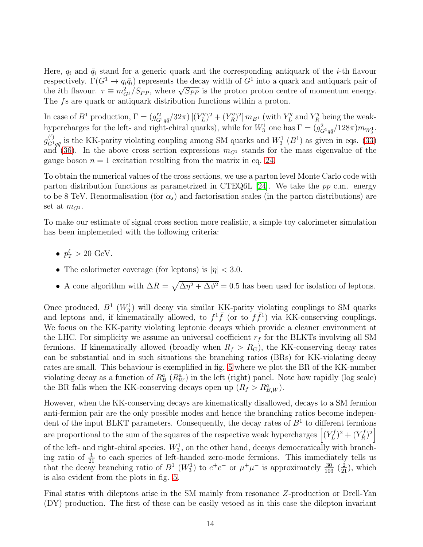Here,  $q_i$  and  $\bar{q}_i$  stand for a generic quark and the corresponding antiquark of the *i*-th flavour respectively.  $\Gamma(G^1 \to q_i \bar{q}_i)$  represents the decay width of  $G^1$  into a quark and antiquark pair of the *i*th flavour.  $\tau \equiv m_{G_1}^2/S_{PP}$ , where  $\sqrt{S_{PP}}$  is the proton proton centre of momentum energy. The fs are quark or antiquark distribution functions within a proton.

In case of  $B^1$  production,  $\Gamma = (g_{G^1 q\bar{q}}'^2/32\pi)$   $[(Y_L^q$  $(L^{q})^{2} + (Y^{q}_{R})^{2}$  $\binom{r}{R}^2 \lfloor m_{B^1} \pmod{Y_L^q}$  $L^q$  and  $Y_R^q$  being the weakhypercharges for the left- and right-chiral quarks), while for  $W_3^1$  one has  $\Gamma = (g_{G^1 q\bar{q}}^2/128\pi)m_{W_3^1}$ .  $g_{G_1}^{(')}$  $G_{1q\bar{q}}^{(1)}$  is the KK-parity violating coupling among SM quarks and  $W_3^1$  ( $B^1$ ) as given in eqs. [\(33\)](#page-10-0) and [\(36\)](#page-11-1). In the above cross section expressions  $m_{G_1}$  stands for the mass eigenvalue of the gauge boson  $n = 1$  excitation resulting from the matrix in eq. [24.](#page-8-2)

To obtain the numerical values of the cross sections, we use a parton level Monte Carlo code with parton distribution functions as parametrized in CTEQ6L [\[24\]](#page-21-7). We take the pp c.m. energy to be 8 TeV. Renormalisation (for  $\alpha_s$ ) and factorisation scales (in the parton distributions) are set at  $m_{G^1}$ .

To make our estimate of signal cross section more realistic, a simple toy calorimeter simulation has been implemented with the following criteria:

- $p_T^{\ell} > 20 \text{ GeV}.$
- The calorimeter coverage (for leptons) is  $|\eta| < 3.0$ .
- A cone algorithm with  $\Delta R = \sqrt{\Delta \eta^2 + \Delta \phi^2} = 0.5$  has been used for isolation of leptons.

Once produced,  $B^1$  ( $W_3^1$ ) will decay via similar KK-parity violating couplings to SM quarks and leptons and, if kinematically allowed, to  $f^1\bar{f}$  (or to  $f\bar{f}^1$ ) via KK-conserving couplings. We focus on the KK-parity violating leptonic decays which provide a cleaner environment at the LHC. For simplicity we assume an universal coefficient  $r_f$  for the BLKTs involving all SM fermions. If kinematically allowed (broadly when  $R_f > R_G$ ), the KK-conserving decay rates can be substantial and in such situations the branching ratios (BRs) for KK-violating decay rates are small. This behaviour is exemplified in fig. [5](#page-14-0) where we plot the BR of the KK-number violating decay as a function of  $R_B^a$  ( $R_W^a$ ) in the left (right) panel. Note how rapidly (log scale) the BR falls when the KK-conserving decays open up  $(R_f > R_{B,W}^a)$ .

However, when the KK-conserving decays are kinematically disallowed, decays to a SM fermion anti-fermion pair are the only possible modes and hence the branching ratios become independent of the input BLKT parameters. Consequently, the decay rates of  $B<sup>1</sup>$  to different fermions are proportional to the sum of the squares of the respective weak hypercharges  $\left[\left(Y_L^f\right)\right]$  $(L^{f})^{2} + (Y^{f}_{R})^{2}$  $\binom{f}{R}^2$ of the left- and right-chiral species.  $W_3^1$ , on the other hand, decays democratically with branching ratio of  $\frac{1}{21}$  to each species of left-handed zero-mode fermions. This immediately tells us that the decay branching ratio of  $B^1$  ( $W_3^1$ ) to  $e^+e^-$  or  $\mu^+\mu^-$  is approximately  $\frac{30}{103}$  ( $\frac{2}{21}$ ), which is also evident from the plots in fig. [5.](#page-14-0)

Final states with dileptons arise in the SM mainly from resonance Z-production or Drell-Yan (DY) production. The first of these can be easily vetoed as in this case the dilepton invariant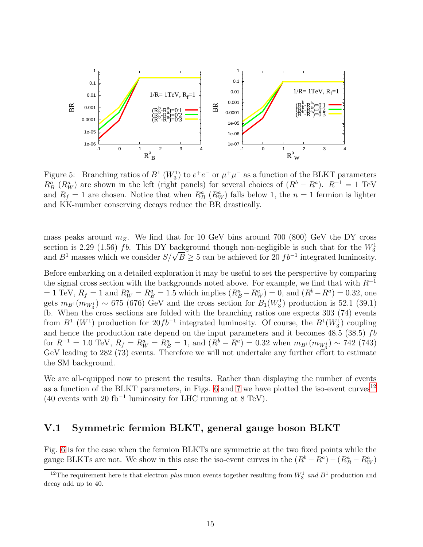

<span id="page-14-0"></span>Figure 5: Branching ratios of  $B^1$  ( $W_3^1$ ) to  $e^+e^-$  or  $\mu^+\mu^-$  as a function of the BLKT parameters  $R_B^a$  ( $R_W^a$ ) are shown in the left (right panels) for several choices of  $(R^b - R^a)$ .  $R^{-1} = 1$  TeV and  $R_f = 1$  are chosen. Notice that when  $R_B^a$  ( $R_W^a$ ) falls below 1, the  $n = 1$  fermion is lighter and KK-number conserving decays reduce the BR drastically.

mass peaks around  $m_Z$ . We find that for 10 GeV bins around 700 (800) GeV the DY cross section is 2.29 (1.56) fb. This DY background though non-negligible is such that for the  $W_3^1$ and  $B^1$  masses which we consider  $S/\sqrt{B} \geq 5$  can be achieved for 20  $fb^{-1}$  integrated luminosity.

Before embarking on a detailed exploration it may be useful to set the perspective by comparing the signal cross section with the backgrounds noted above. For example, we find that with  $R^{-1}$  $= 1 \text{ TeV}, R_f = 1 \text{ and } R_W^a = R_B^a = 1.5 \text{ which implies } (R_B^a - R_W^a) = 0, \text{ and } (R^b - R^a) = 0.32, \text{ one}$ gets  $m_{B1}(m_{W_3^1}) \sim 675$  (676) GeV and the cross section for  $B_1(W_3^1)$  production is 52.1 (39.1) fb. When the cross sections are folded with the branching ratios one expects 303 (74) events from  $B^1$  ( $W^1$ ) production for  $20fb^{-1}$  integrated luminosity. Of course, the  $B^1(W_3^1)$  coupling and hence the production rate depend on the input parameters and it becomes  $48.5$  (38.5)  $fb$ for  $R^{-1} = 1.0$  TeV,  $R_f = R_W^a = R_B^a = 1$ , and  $(R^b - R^a) = 0.32$  when  $m_{B^1}(m_{W_3^1}) \sim 742$  (743) GeV leading to 282 (73) events. Therefore we will not undertake any further effort to estimate the SM background.

We are all-equipped now to present the results. Rather than displaying the number of events as a function of the BLKT parameters, in Figs. [6](#page-15-0) and [7](#page-17-0) we have plotted the iso-event curves<sup>[12](#page-14-1)</sup> (40 events with 20 fb<sup>-1</sup> luminosity for LHC running at 8 TeV).

#### V.1 Symmetric fermion BLKT, general gauge boson BLKT

Fig. [6](#page-15-0) is for the case when the fermion BLKTs are symmetric at the two fixed points while the gauge BLKTs are not. We show in this case the iso-event curves in the  $(R^b - R^a) - (R^a - R^a_W)$ 

<span id="page-14-1"></span><sup>&</sup>lt;sup>12</sup>The requirement here is that electron *plus* muon events together resulting from  $W_3^1$  and  $B^1$  production and decay add up to 40.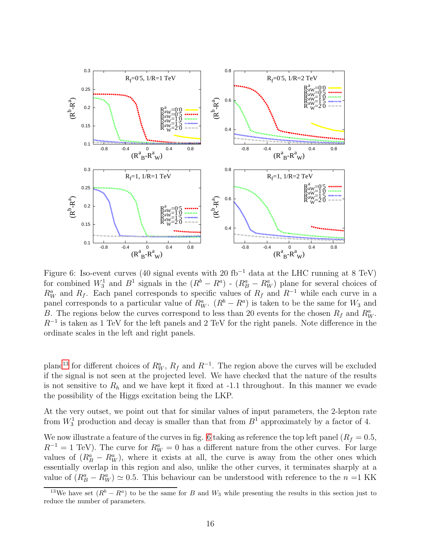

<span id="page-15-0"></span>Figure 6: Iso-event curves (40 signal events with 20 fb<sup>-1</sup> data at the LHC running at 8 TeV) for combined  $W_3^1$  and  $B^1$  signals in the  $(R^b - R^a)$  -  $(R_B^a - R_W^a)$  plane for several choices of  $R_W^a$  and  $R_f$ . Each panel corresponds to specific values of  $R_f$  and  $R^{-1}$  while each curve in a panel corresponds to a particular value of  $R_W^a$ .  $(R^b - R^a)$  is taken to be the same for  $W_3$  and B. The regions below the curves correspond to less than 20 events for the chosen  $R_f$  and  $R_W^a$ .  $R^{-1}$  is taken as 1 TeV for the left panels and 2 TeV for the right panels. Note difference in the ordinate scales in the left and right panels.

plane<sup>[13](#page-15-1)</sup> for different choices of  $R_W^a$ ,  $R_f$  and  $R^{-1}$ . The region above the curves will be excluded if the signal is not seen at the projected level. We have checked that the nature of the results is not sensitive to  $R_h$  and we have kept it fixed at -1.1 throughout. In this manner we evade the possibility of the Higgs excitation being the LKP.

At the very outset, we point out that for similar values of input parameters, the 2-lepton rate from  $W_3^1$  production and decay is smaller than that from  $B^1$  approximately by a factor of 4.

We now illustrate a feature of the curves in fig. [6](#page-15-0) taking as reference the top left panel  $(R_f = 0.5,$  $R^{-1} = 1$  TeV). The curve for  $R_W^a = 0$  has a different nature from the other curves. For large values of  $(R_B^a - R_W^a)$ , where it exists at all, the curve is away from the other ones which essentially overlap in this region and also, unlike the other curves, it terminates sharply at a value of  $(R_B^a - R_W^a) \simeq 0.5$ . This behaviour can be understood with reference to the  $n = 1$  KK

<span id="page-15-1"></span><sup>&</sup>lt;sup>13</sup>We have set  $(R^b - R^a)$  to be the same for B and W<sub>3</sub> while presenting the results in this section just to reduce the number of parameters.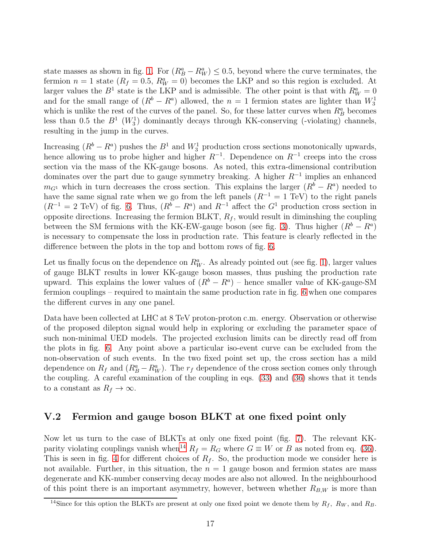state masses as shown in fig. [1.](#page-7-0) For  $(R_B^a - R_W^a) \le 0.5$ , beyond where the curve terminates, the fermion  $n = 1$  state  $(R_f = 0.5, R_W^a = 0)$  becomes the LKP and so this region is excluded. At larger values the  $B^1$  state is the LKP and is admissible. The other point is that with  $R_W^a = 0$ and for the small range of  $(R^b - R^a)$  allowed, the  $n = 1$  fermion states are lighter than  $W_3^1$ which is unlike the rest of the curves of the panel. So, for these latter curves when  $R_B^a$  becomes less than 0.5 the  $B^1$  ( $W_3^1$ ) dominantly decays through KK-conserving (-violating) channels, resulting in the jump in the curves.

Increasing  $(R^b - R^a)$  pushes the  $B^1$  and  $W_3^1$  production cross sections monotonically upwards, hence allowing us to probe higher and higher  $R^{-1}$ . Dependence on  $R^{-1}$  creeps into the cross section via the mass of the KK-gauge bosons. As noted, this extra-dimensional contribution dominates over the part due to gauge symmetry breaking. A higher  $R^{-1}$  implies an enhanced  $m_{G_1}$  which in turn decreases the cross section. This explains the larger  $(R^b - R^a)$  needed to have the same signal rate when we go from the left panels  $(R^{-1} = 1 \text{ TeV})$  to the right panels  $(R^{-1} = 2 \text{ TeV})$  of fig. [6.](#page-15-0) Thus,  $(R^b - R^a)$  and  $R^{-1}$  affect the  $G^1$  production cross section in opposite directions. Increasing the fermion BLKT,  $R_f$ , would result in diminshing the coupling between the SM fermions with the KK-EW-gauge boson (see fig. [3\)](#page-11-0). Thus higher  $(R^b - R^a)$ is necessary to compensate the loss in production rate. This feature is clearly reflected in the difference between the plots in the top and bottom rows of fig. [6.](#page-15-0)

Let us finally focus on the dependence on  $R_W^a$ . As already pointed out (see fig. [1\)](#page-7-0), larger values of gauge BLKT results in lower KK-gauge boson masses, thus pushing the production rate upward. This explains the lower values of  $(R^b - R^a)$  – hence smaller value of KK-gauge-SM fermion couplings – required to maintain the same production rate in fig. [6](#page-15-0) when one compares the different curves in any one panel.

Data have been collected at LHC at 8 TeV proton-proton c.m. energy. Observation or otherwise of the proposed dilepton signal would help in exploring or excluding the parameter space of such non-minimal UED models. The projected exclusion limits can be directly read off from the plots in fig. [6.](#page-15-0) Any point above a particular iso-event curve can be excluded from the non-observation of such events. In the two fixed point set up, the cross section has a mild dependence on  $R_f$  and  $(R_B^a - R_W^a)$ . The  $r_f$  dependence of the cross section comes only through the coupling. A careful examination of the coupling in eqs. [\(33\)](#page-10-0) and [\(36\)](#page-11-1) shows that it tends to a constant as  $R_f \to \infty$ .

### V.2 Fermion and gauge boson BLKT at one fixed point only

Now let us turn to the case of BLKTs at only one fixed point (fig. [7\)](#page-17-0). The relevant KK-parity violating couplings vanish when<sup>[14](#page-16-0)</sup>  $R_f = R_G$  where  $G \equiv W$  or B as noted from eq. [\(36\)](#page-11-1). This is seen in fig. [4](#page-12-0) for different choices of  $R_f$ . So, the production mode we consider here is not available. Further, in this situation, the  $n = 1$  gauge boson and fermion states are mass degenerate and KK-number conserving decay modes are also not allowed. In the neighbourhood of this point there is an important asymmetry, however, between whether  $R_{B,W}$  is more than

<span id="page-16-0"></span><sup>&</sup>lt;sup>14</sup>Since for this option the BLKTs are present at only one fixed point we denote them by  $R_f$ ,  $R_W$ , and  $R_B$ .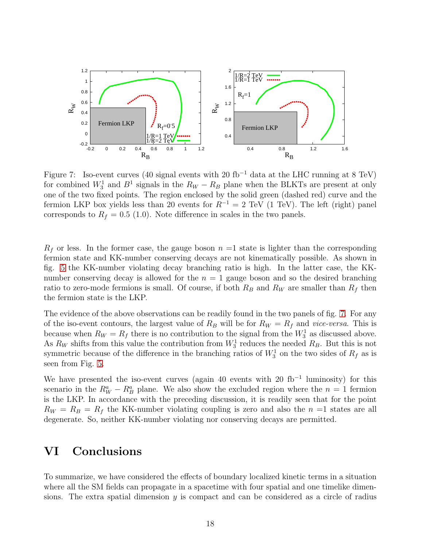

<span id="page-17-0"></span>Figure 7: Iso-event curves (40 signal events with 20 fb<sup>-1</sup> data at the LHC running at 8 TeV) for combined  $W_3^1$  and  $B^1$  signals in the  $R_W - R_B$  plane when the BLKTs are present at only one of the two fixed points. The region enclosed by the solid green (dashed red) curve and the fermion LKP box yields less than 20 events for  $R^{-1} = 2 \text{ TeV}$  (1 TeV). The left (right) panel corresponds to  $R_f = 0.5$  (1.0). Note difference in scales in the two panels.

 $R_f$  or less. In the former case, the gauge boson  $n = 1$  state is lighter than the corresponding fermion state and KK-number conserving decays are not kinematically possible. As shown in fig. [5](#page-14-0) the KK-number violating decay branching ratio is high. In the latter case, the KKnumber conserving decay is allowed for the  $n = 1$  gauge boson and so the desired branching ratio to zero-mode fermions is small. Of course, if both  $R_B$  and  $R_W$  are smaller than  $R_f$  then the fermion state is the LKP.

The evidence of the above observations can be readily found in the two panels of fig. [7.](#page-17-0) For any of the iso-event contours, the largest value of  $R_B$  will be for  $R_W = R_f$  and *vice-versa*. This is because when  $R_W = R_f$  there is no contribution to the signal from the  $W_3^1$  as discussed above. As  $R_W$  shifts from this value the contribution from  $W_3^1$  reduces the needed  $R_B$ . But this is not symmetric because of the difference in the branching ratios of  $W_3^1$  on the two sides of  $R_f$  as is seen from Fig. [5.](#page-14-0)

We have presented the iso-event curves (again 40 events with 20 fb<sup>-1</sup> luminosity) for this scenario in the  $R_W^a - R_B^a$  plane. We also show the excluded region where the  $n = 1$  fermion is the LKP. In accordance with the preceding discussion, it is readily seen that for the point  $R_W = R_B = R_f$  the KK-number violating coupling is zero and also the  $n =1$  states are all degenerate. So, neither KK-number violating nor conserving decays are permitted.

## VI Conclusions

To summarize, we have considered the effects of boundary localized kinetic terms in a situation where all the SM fields can propagate in a spacetime with four spatial and one timelike dimensions. The extra spatial dimension  $y$  is compact and can be considered as a circle of radius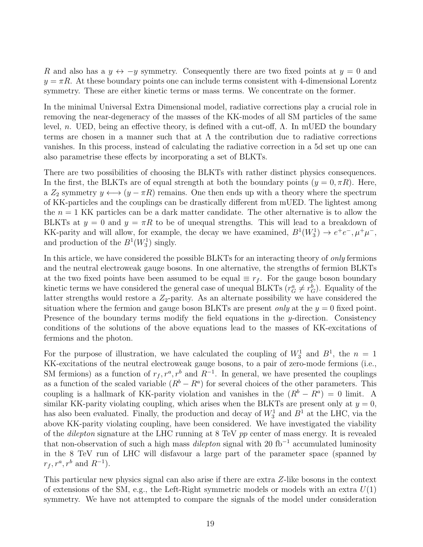R and also has a  $y \leftrightarrow -y$  symmetry. Consequently there are two fixed points at  $y = 0$  and  $y = \pi R$ . At these boundary points one can include terms consistent with 4-dimensional Lorentz symmetry. These are either kinetic terms or mass terms. We concentrate on the former.

In the minimal Universal Extra Dimensional model, radiative corrections play a crucial role in removing the near-degeneracy of the masses of the KK-modes of all SM particles of the same level, *n*. UED, being an effective theory, is defined with a cut-off,  $Λ$ . In mUED the boundary terms are chosen in a manner such that at  $\Lambda$  the contribution due to radiative corrections vanishes. In this process, instead of calculating the radiative correction in a 5d set up one can also parametrise these effects by incorporating a set of BLKTs.

There are two possibilities of choosing the BLKTs with rather distinct physics consequences. In the first, the BLKTs are of equal strength at both the boundary points  $(y = 0, \pi R)$ . Here, a  $Z_2$  symmetry  $y \leftrightarrow (y - \pi R)$  remains. One then ends up with a theory where the spectrum of KK-particles and the couplings can be drastically different from mUED. The lightest among the  $n = 1$  KK particles can be a dark matter candidate. The other alternative is to allow the BLKTs at  $y = 0$  and  $y = \pi R$  to be of unequal strengths. This will lead to a breakdown of KK-parity and will allow, for example, the decay we have examined,  $B^1(W_3^1) \to e^+e^-, \mu^+\mu^-,$ and production of the  $B^1(W_3^1)$  singly.

In this article, we have considered the possible BLKTs for an interacting theory of *only* fermions and the neutral electroweak gauge bosons. In one alternative, the strengths of fermion BLKTs at the two fixed points have been assumed to be equal  $\equiv r_f$ . For the gauge boson boundary kinetic terms we have considered the general case of unequal BLKTs  $(r_G^a \neq r_G^b)$ . Equality of the latter strengths would restore a  $Z_2$ -parity. As an alternate possibility we have considered the situation where the fermion and gauge boson BLKTs are present *only* at the  $y = 0$  fixed point. Presence of the boundary terms modify the field equations in the y-direction. Consistency conditions of the solutions of the above equations lead to the masses of KK-excitations of fermions and the photon.

For the purpose of illustration, we have calculated the coupling of  $W_3^1$  and  $B^1$ , the  $n = 1$ KK-excitations of the neutral electroweak gauge bosons, to a pair of zero-mode fermions (i.e., SM fermions) as a function of  $r_f, r^a, r^b$  and  $R^{-1}$ . In general, we have presented the couplings as a function of the scaled variable  $(R^b - R^a)$  for several choices of the other parameters. This coupling is a hallmark of KK-parity violation and vanishes in the  $(R^b - R^a) = 0$  limit. A similar KK-parity violating coupling, which arises when the BLKTs are present only at  $y = 0$ , has also been evaluated. Finally, the production and decay of  $W_3^1$  and  $B^1$  at the LHC, via the above KK-parity violating coupling, have been considered. We have investigated the viability of the dilepton signature at the LHC running at 8 TeV pp center of mass energy. It is revealed that non-observation of such a high mass *dilepton* signal with 20 fb<sup>-1</sup> accumulated luminosity in the 8 TeV run of LHC will disfavour a large part of the parameter space (spanned by  $r_f, r^a, r^b \text{ and } R^{-1}$ ).

This particular new physics signal can also arise if there are extra Z-like bosons in the context of extensions of the SM, e.g., the Left-Right symmetric models or models with an extra  $U(1)$ symmetry. We have not attempted to compare the signals of the model under consideration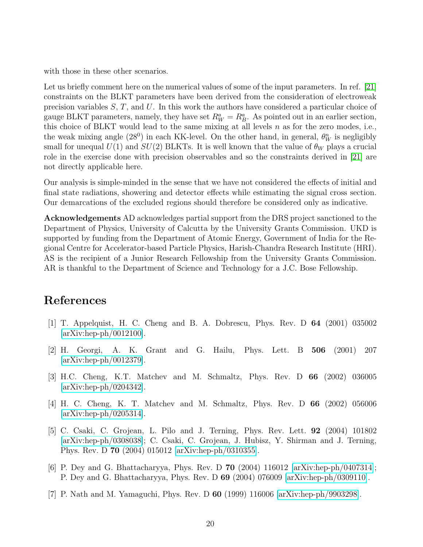with those in these other scenarios.

Let us briefly comment here on the numerical values of some of the input parameters. In ref. [\[21\]](#page-21-4) constraints on the BLKT parameters have been derived from the consideration of electroweak precision variables  $S, T$ , and U. In this work the authors have considered a particular choice of gauge BLKT parameters, namely, they have set  $R_W^a = R_B^a$ . As pointed out in an earlier section, this choice of BLKT would lead to the same mixing at all levels  $n$  as for the zero modes, i.e., the weak mixing angle (28<sup>0</sup>) in each KK-level. On the other hand, in general,  $\theta_W^n$  is negligibly small for unequal  $U(1)$  and  $SU(2)$  BLKTs. It is well known that the value of  $\theta_W$  plays a crucial role in the exercise done with precision observables and so the constraints derived in [\[21\]](#page-21-4) are not directly applicable here.

Our analysis is simple-minded in the sense that we have not considered the effects of initial and final state radiations, showering and detector effects while estimating the signal cross section. Our demarcations of the excluded regions should therefore be considered only as indicative.

Acknowledgements AD acknowledges partial support from the DRS project sanctioned to the Department of Physics, University of Calcutta by the University Grants Commission. UKD is supported by funding from the Department of Atomic Energy, Government of India for the Regional Centre for Accelerator-based Particle Physics, Harish-Chandra Research Institute (HRI). AS is the recipient of a Junior Research Fellowship from the University Grants Commission. AR is thankful to the Department of Science and Technology for a J.C. Bose Fellowship.

### <span id="page-19-0"></span>References

- [1] T. Appelquist, H. C. Cheng and B. A. Dobrescu, Phys. Rev. D 64 (2001) 035002 [\[arXiv:hep-ph/0012100\]](http://arxiv.org/abs/hep-ph/0012100).
- <span id="page-19-1"></span>[2] H. Georgi, A. K. Grant and G. Hailu, Phys. Lett. B 506 (2001) 207 [\[arXiv:hep-ph/0012379\]](http://arxiv.org/abs/hep-ph/0012379).
- <span id="page-19-2"></span>[3] H.C. Cheng, K.T. Matchev and M. Schmaltz, Phys. Rev. D 66 (2002) 036005 [\[arXiv:hep-ph/0204342\]](http://arxiv.org/abs/hep-ph/0204342).
- <span id="page-19-3"></span>[4] H. C. Cheng, K. T. Matchev and M. Schmaltz, Phys. Rev. D 66 (2002) 056006 [\[arXiv:hep-ph/0205314\]](http://arxiv.org/abs/hep-ph/0205314).
- <span id="page-19-4"></span>[5] C. Csaki, C. Grojean, L. Pilo and J. Terning, Phys. Rev. Lett. 92 (2004) 101802 [\[arXiv:hep-ph/0308038\]](http://arxiv.org/abs/hep-ph/0308038); C. Csaki, C. Grojean, J. Hubisz, Y. Shirman and J. Terning, Phys. Rev. D 70 (2004) 015012 [\[arXiv:hep-ph/0310355\]](http://arxiv.org/abs/hep-ph/0310355).
- <span id="page-19-5"></span>[6] P. Dey and G. Bhattacharyya, Phys. Rev. D 70 (2004) 116012 [\[arXiv:hep-ph/0407314\]](http://arxiv.org/abs/hep-ph/0407314); P. Dey and G. Bhattacharyya, Phys. Rev. D 69 (2004) 076009 [\[arXiv:hep-ph/0309110\]](http://arxiv.org/abs/hep-ph/0309110).
- <span id="page-19-6"></span>[7] P. Nath and M. Yamaguchi, Phys. Rev. D 60 (1999) 116006 [\[arXiv:hep-ph/9903298\]](http://arxiv.org/abs/hep-ph/9903298).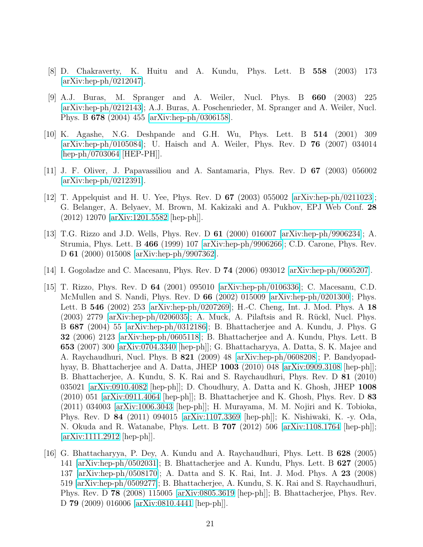- <span id="page-20-1"></span><span id="page-20-0"></span>[8] D. Chakraverty, K. Huitu and A. Kundu, Phys. Lett. B 558 (2003) 173 [\[arXiv:hep-ph/0212047\]](http://arxiv.org/abs/hep-ph/0212047).
- [9] A.J. Buras, M. Spranger and A. Weiler, Nucl. Phys. B 660 (2003) 225 [\[arXiv:hep-ph/0212143\]](http://arxiv.org/abs/hep-ph/0212143); A.J. Buras, A. Poschenrieder, M. Spranger and A. Weiler, Nucl. Phys. B 678 (2004) 455 [\[arXiv:hep-ph/0306158\]](http://arxiv.org/abs/hep-ph/0306158).
- <span id="page-20-2"></span>[10] K. Agashe, N.G. Deshpande and G.H. Wu, Phys. Lett. B 514 (2001) 309 [\[arXiv:hep-ph/0105084\]](http://arxiv.org/abs/hep-ph/0105084); U. Haisch and A. Weiler, Phys. Rev. D 76 (2007) 034014 [\[hep-ph/0703064](http://arxiv.org/abs/hep-ph/0703064) [HEP-PH]].
- <span id="page-20-4"></span><span id="page-20-3"></span>[11] J. F. Oliver, J. Papavassiliou and A. Santamaria, Phys. Rev. D 67 (2003) 056002  $\arXiv:hep-ph/0212391$ .
- [12] T. Appelquist and H. U. Yee, Phys. Rev. D 67 (2003) 055002 [\[arXiv:hep-ph/0211023\]](http://arxiv.org/abs/hep-ph/0211023); G. Belanger, A. Belyaev, M. Brown, M. Kakizaki and A. Pukhov, EPJ Web Conf. 28 (2012) 12070 [\[arXiv:1201.5582](http://arxiv.org/abs/1201.5582) [hep-ph]].
- <span id="page-20-5"></span>[13] T.G. Rizzo and J.D. Wells, Phys. Rev. D 61 (2000) 016007 [\[arXiv:hep-ph/9906234\]](http://arxiv.org/abs/hep-ph/9906234); A. Strumia, Phys. Lett. B 466 (1999) 107 [\[arXiv:hep-ph/9906266\]](http://arxiv.org/abs/hep-ph/9906266); C.D. Carone, Phys. Rev. D 61 (2000) 015008 [\[arXiv:hep-ph/9907362\]](http://arxiv.org/abs/hep-ph/9907362).
- <span id="page-20-7"></span><span id="page-20-6"></span>[14] I. Gogoladze and C. Macesanu, Phys. Rev. D 74 (2006) 093012 [\[arXiv:hep-ph/0605207\]](http://arxiv.org/abs/hep-ph/0605207).
- [15] T. Rizzo, Phys. Rev. D 64 (2001) 095010 [\[arXiv:hep-ph/0106336\]](http://arxiv.org/abs/hep-ph/0106336); C. Macesanu, C.D. McMullen and S. Nandi, Phys. Rev. D  $66$  (2002) 015009 [\[arXiv:hep-ph/0201300\]](http://arxiv.org/abs/hep-ph/0201300); Phys. Lett. B 546 (2002) 253 [\[arXiv:hep-ph/0207269\]](http://arxiv.org/abs/hep-ph/0207269); H.-C. Cheng, Int. J. Mod. Phys. A 18  $(2003)$  2779 [\[arXiv:hep-ph/0206035\]](http://arxiv.org/abs/hep-ph/0206035); A. Muck, A. Pilaftsis and R. Rückl, Nucl. Phys. B 687 (2004) 55 [\[arXiv:hep-ph/0312186\]](http://arxiv.org/abs/hep-ph/0312186); B. Bhattacherjee and A. Kundu, J. Phys. G 32 (2006) 2123 [\[arXiv:hep-ph/0605118\]](http://arxiv.org/abs/hep-ph/0605118); B. Bhattacherjee and A. Kundu, Phys. Lett. B 653 (2007) 300 [\[arXiv:0704.3340](http://arxiv.org/abs/0704.3340) [hep-ph]]; G. Bhattacharyya, A. Datta, S. K. Majee and A. Raychaudhuri, Nucl. Phys. B 821 (2009) 48 [\[arXiv:hep-ph/0608208\]](http://arxiv.org/abs/hep-ph/0608208); P. Bandyopadhyay, B. Bhattacherjee and A. Datta, JHEP 1003 (2010) 048 [\[arXiv:0909.3108](http://arxiv.org/abs/0909.3108) [hep-ph]]; B. Bhattacherjee, A. Kundu, S. K. Rai and S. Raychaudhuri, Phys. Rev. D 81 (2010) 035021 [\[arXiv:0910.4082](http://arxiv.org/abs/0910.4082) [hep-ph]]; D. Choudhury, A. Datta and K. Ghosh, JHEP 1008  $(2010)$  051 [\[arXiv:0911.4064](http://arxiv.org/abs/0911.4064) [hep-ph]]; B. Bhattacherjee and K. Ghosh, Phys. Rev. D 83 (2011) 034003 [\[arXiv:1006.3043](http://arxiv.org/abs/1006.3043) [hep-ph]]; H. Murayama, M. M. Nojiri and K. Tobioka, Phys. Rev. D 84 (2011) 094015 [\[arXiv:1107.3369](http://arxiv.org/abs/1107.3369) [hep-ph]]; K. Nishiwaki, K. -y. Oda, N. Okuda and R. Watanabe, Phys. Lett. B 707 (2012) 506 [\[arXiv:1108.1764](http://arxiv.org/abs/1108.1764) [hep-ph]]; [\[arXiv:1111.2912](http://arxiv.org/abs/1111.2912) [hep-ph]].
- <span id="page-20-8"></span>[16] G. Bhattacharyya, P. Dey, A. Kundu and A. Raychaudhuri, Phys. Lett. B 628 (2005) 141 [\[arXiv:hep-ph/0502031\]](http://arxiv.org/abs/hep-ph/0502031); B. Bhattacherjee and A. Kundu, Phys. Lett. B 627 (2005) 137 [\[arXiv:hep-ph/0508170\]](http://arxiv.org/abs/hep-ph/0508170); A. Datta and S. K. Rai, Int. J. Mod. Phys. A 23 (2008) 519 [\[arXiv:hep-ph/0509277\]](http://arxiv.org/abs/hep-ph/0509277); B. Bhattacherjee, A. Kundu, S. K. Rai and S. Raychaudhuri, Phys. Rev. D 78 (2008) 115005 [\[arXiv:0805.3619](http://arxiv.org/abs/0805.3619) [hep-ph]]; B. Bhattacherjee, Phys. Rev. D 79 (2009) 016006 [\[arXiv:0810.4441](http://arxiv.org/abs/0810.4441) [hep-ph]].